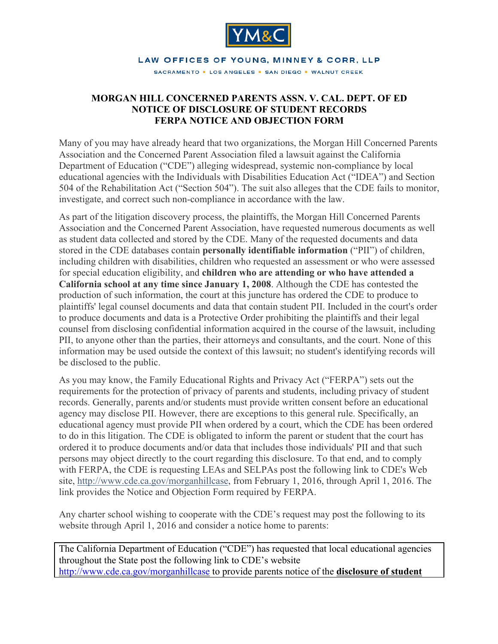

## LAW OFFICES OF YOUNG, MINNEY & CORR, LLP

SACRAMENTO . LOS ANGELES . SAN DIEGO . WALNUT CREEK

## **MORGAN HILL CONCERNED PARENTS ASSN. V. CAL. DEPT. OF ED NOTICE OF DISCLOSURE OF STUDENT RECORDS FERPA NOTICE AND OBJECTION FORM**

Many of you may have already heard that two organizations, the Morgan Hill Concerned Parents Association and the Concerned Parent Association filed a lawsuit against the California Department of Education ("CDE") alleging widespread, systemic non-compliance by local educational agencies with the Individuals with Disabilities Education Act ("IDEA") and Section 504 of the Rehabilitation Act ("Section 504"). The suit also alleges that the CDE fails to monitor, investigate, and correct such non-compliance in accordance with the law.

As part of the litigation discovery process, the plaintiffs, the Morgan Hill Concerned Parents Association and the Concerned Parent Association, have requested numerous documents as well as student data collected and stored by the CDE. Many of the requested documents and data stored in the CDE databases contain **personally identifiable information** ("PII") of children, including children with disabilities, children who requested an assessment or who were assessed for special education eligibility, and **children who are attending or who have attended a California school at any time since January 1, 2008**. Although the CDE has contested the production of such information, the court at this juncture has ordered the CDE to produce to plaintiffs' legal counsel documents and data that contain student PII. Included in the court's order to produce documents and data is a Protective Order prohibiting the plaintiffs and their legal counsel from disclosing confidential information acquired in the course of the lawsuit, including PII, to anyone other than the parties, their attorneys and consultants, and the court. None of this information may be used outside the context of this lawsuit; no student's identifying records will be disclosed to the public.

As you may know, the Family Educational Rights and Privacy Act ("FERPA") sets out the requirements for the protection of privacy of parents and students, including privacy of student records. Generally, parents and/or students must provide written consent before an educational agency may disclose PII. However, there are exceptions to this general rule. Specifically, an educational agency must provide PII when ordered by a court, which the CDE has been ordered to do in this litigation. The CDE is obligated to inform the parent or student that the court has ordered it to produce documents and/or data that includes those individuals' PII and that such persons may object directly to the court regarding this disclosure. To that end, and to comply with FERPA, the CDE is requesting LEAs and SELPAs post the following link to CDE's Web site, http://www.cde.ca.gov/morganhillcase, from February 1, 2016, through April 1, 2016. The link provides the Notice and Objection Form required by FERPA.

Any charter school wishing to cooperate with the CDE's request may post the following to its website through April 1, 2016 and consider a notice home to parents:

The California Department of Education ("CDE") has requested that local educational agencies throughout the State post the following link to CDE's website http://www.cde.ca.gov/morganhillcase to provide parents notice of the **disclosure of student**